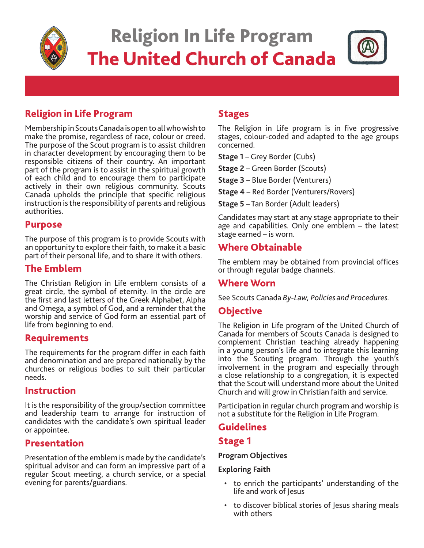

# Religion In Life Program The United Church of Canada



## Religion in Life Program

Membership in Scouts Canada is open to all who wish to make the promise, regardless of race, colour or creed. The purpose of the Scout program is to assist children in character development by encouraging them to be responsible citizens of their country. An important part of the program is to assist in the spiritual growth of each child and to encourage them to participate actively in their own religious community. Scouts Canada upholds the principle that specific religious instruction is the responsibility of parents and religious authorities.

## Purpose

The purpose of this program is to provide Scouts with an opportunity to explore their faith, to make it a basic part of their personal life, and to share it with others.

## The Emblem

The Christian Religion in Life emblem consists of a great circle, the symbol of eternity. In the circle are the first and last letters of the Greek Alphabet, Alpha and Omega, a symbol of God, and a reminder that the worship and service of God form an essential part of life from beginning to end.

## Requirements

The requirements for the program differ in each faith and denomination and are prepared nationally by the churches or religious bodies to suit their particular needs.

## Instruction

It is the responsibility of the group/section committee and leadership team to arrange for instruction of candidates with the candidate's own spiritual leader or appointee.

## Presentation

Presentation of the emblem is made by the candidate's spiritual advisor and can form an impressive part of a regular Scout meeting, a church service, or a special evening for parents/guardians.

## Stages

The Religion in Life program is in five progressive stages, colour-coded and adapted to the age groups concerned.

**Stage 1** – Grey Border (Cubs)

**Stage 2** – Green Border (Scouts)

**Stage 3** – Blue Border (Venturers)

**Stage 4** – Red Border (Venturers/Rovers)

**Stage 5** – Tan Border (Adult leaders)

Candidates may start at any stage appropriate to their age and capabilities. Only one emblem – the latest stage earned – is worn.

## Where Obtainable

The emblem may be obtained from provincial offices or through regular badge channels.

## Where Worn

See Scouts Canada *By-Law, Policies and Procedures.* 

## **Objective**

The Religion in Life program of the United Church of Canada for members of Scouts Canada is designed to complement Christian teaching already happening in a young person's life and to integrate this learning into the Scouting program. Through the youth's involvement in the program and especially through a close relationship to a congregation, it is expected that the Scout will understand more about the United Church and will grow in Christian faith and service.

Participation in regular church program and worship is not a substitute for the Religion in Life Program.

## Guidelines

## Stage 1

#### **Program Objectives**

#### **Exploring Faith**

- to enrich the participants' understanding of the life and work of Jesus
- to discover biblical stories of Jesus sharing meals with others